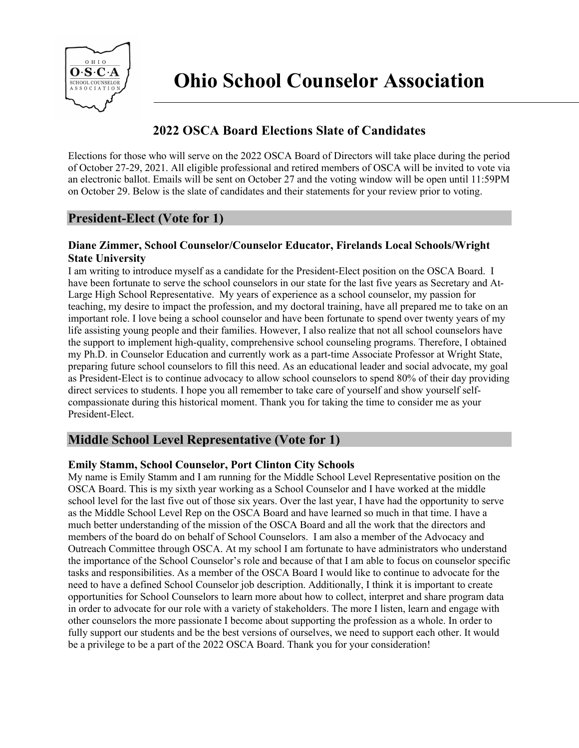

# **2022 OSCA Board Elections Slate of Candidates**

Elections for those who will serve on the 2022 OSCA Board of Directors will take place during the period of October 27-29, 2021. All eligible professional and retired members of OSCA will be invited to vote via an electronic ballot. Emails will be sent on October 27 and the voting window will be open until 11:59PM on October 29. Below is the slate of candidates and their statements for your review prior to voting.

# **President-Elect (Vote for 1)**

## **Diane Zimmer, School Counselor/Counselor Educator, Firelands Local Schools/Wright State University**

I am writing to introduce myself as a candidate for the President-Elect position on the OSCA Board. I have been fortunate to serve the school counselors in our state for the last five years as Secretary and At-Large High School Representative. My years of experience as a school counselor, my passion for teaching, my desire to impact the profession, and my doctoral training, have all prepared me to take on an important role. I love being a school counselor and have been fortunate to spend over twenty years of my life assisting young people and their families. However, I also realize that not all school counselors have the support to implement high-quality, comprehensive school counseling programs. Therefore, I obtained my Ph.D. in Counselor Education and currently work as a part-time Associate Professor at Wright State, preparing future school counselors to fill this need. As an educational leader and social advocate, my goal as President-Elect is to continue advocacy to allow school counselors to spend 80% of their day providing direct services to students. I hope you all remember to take care of yourself and show yourself selfcompassionate during this historical moment. Thank you for taking the time to consider me as your President-Elect.

# **Middle School Level Representative (Vote for 1)**

## **Emily Stamm, School Counselor, Port Clinton City Schools**

My name is Emily Stamm and I am running for the Middle School Level Representative position on the OSCA Board. This is my sixth year working as a School Counselor and I have worked at the middle school level for the last five out of those six years. Over the last year, I have had the opportunity to serve as the Middle School Level Rep on the OSCA Board and have learned so much in that time. I have a much better understanding of the mission of the OSCA Board and all the work that the directors and members of the board do on behalf of School Counselors. I am also a member of the Advocacy and Outreach Committee through OSCA. At my school I am fortunate to have administrators who understand the importance of the School Counselor's role and because of that I am able to focus on counselor specific tasks and responsibilities. As a member of the OSCA Board I would like to continue to advocate for the need to have a defined School Counselor job description. Additionally, I think it is important to create opportunities for School Counselors to learn more about how to collect, interpret and share program data in order to advocate for our role with a variety of stakeholders. The more I listen, learn and engage with other counselors the more passionate I become about supporting the profession as a whole. In order to fully support our students and be the best versions of ourselves, we need to support each other. It would be a privilege to be a part of the 2022 OSCA Board. Thank you for your consideration!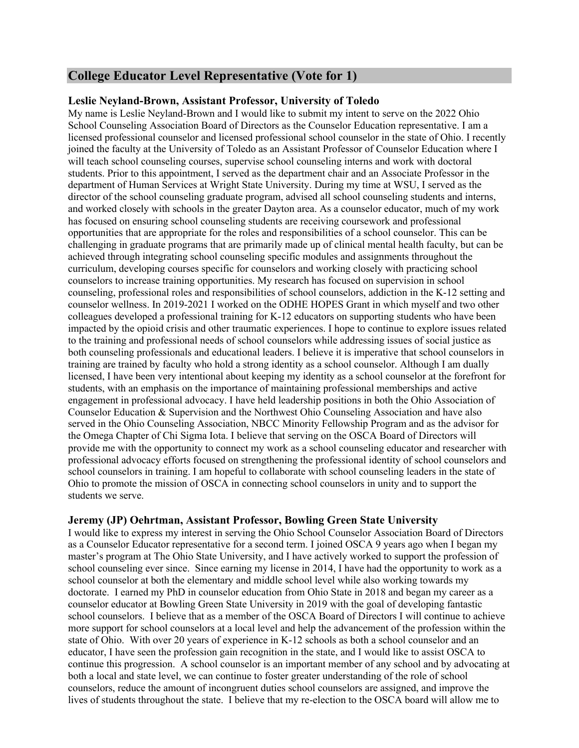# **College Educator Level Representative (Vote for 1)**

### **Leslie Neyland-Brown, Assistant Professor, University of Toledo**

My name is Leslie Neyland-Brown and I would like to submit my intent to serve on the 2022 Ohio School Counseling Association Board of Directors as the Counselor Education representative. I am a licensed professional counselor and licensed professional school counselor in the state of Ohio. I recently joined the faculty at the University of Toledo as an Assistant Professor of Counselor Education where I will teach school counseling courses, supervise school counseling interns and work with doctoral students. Prior to this appointment, I served as the department chair and an Associate Professor in the department of Human Services at Wright State University. During my time at WSU, I served as the director of the school counseling graduate program, advised all school counseling students and interns, and worked closely with schools in the greater Dayton area. As a counselor educator, much of my work has focused on ensuring school counseling students are receiving coursework and professional opportunities that are appropriate for the roles and responsibilities of a school counselor. This can be challenging in graduate programs that are primarily made up of clinical mental health faculty, but can be achieved through integrating school counseling specific modules and assignments throughout the curriculum, developing courses specific for counselors and working closely with practicing school counselors to increase training opportunities. My research has focused on supervision in school counseling, professional roles and responsibilities of school counselors, addiction in the K-12 setting and counselor wellness. In 2019-2021 I worked on the ODHE HOPES Grant in which myself and two other colleagues developed a professional training for K-12 educators on supporting students who have been impacted by the opioid crisis and other traumatic experiences. I hope to continue to explore issues related to the training and professional needs of school counselors while addressing issues of social justice as both counseling professionals and educational leaders. I believe it is imperative that school counselors in training are trained by faculty who hold a strong identity as a school counselor. Although I am dually licensed, I have been very intentional about keeping my identity as a school counselor at the forefront for students, with an emphasis on the importance of maintaining professional memberships and active engagement in professional advocacy. I have held leadership positions in both the Ohio Association of Counselor Education & Supervision and the Northwest Ohio Counseling Association and have also served in the Ohio Counseling Association, NBCC Minority Fellowship Program and as the advisor for the Omega Chapter of Chi Sigma Iota. I believe that serving on the OSCA Board of Directors will provide me with the opportunity to connect my work as a school counseling educator and researcher with professional advocacy efforts focused on strengthening the professional identity of school counselors and school counselors in training. I am hopeful to collaborate with school counseling leaders in the state of Ohio to promote the mission of OSCA in connecting school counselors in unity and to support the students we serve.

## **Jeremy (JP) Oehrtman, Assistant Professor, Bowling Green State University**

I would like to express my interest in serving the Ohio School Counselor Association Board of Directors as a Counselor Educator representative for a second term. I joined OSCA 9 years ago when I began my master's program at The Ohio State University, and I have actively worked to support the profession of school counseling ever since. Since earning my license in 2014, I have had the opportunity to work as a school counselor at both the elementary and middle school level while also working towards my doctorate. I earned my PhD in counselor education from Ohio State in 2018 and began my career as a counselor educator at Bowling Green State University in 2019 with the goal of developing fantastic school counselors. I believe that as a member of the OSCA Board of Directors I will continue to achieve more support for school counselors at a local level and help the advancement of the profession within the state of Ohio. With over 20 years of experience in K-12 schools as both a school counselor and an educator, I have seen the profession gain recognition in the state, and I would like to assist OSCA to continue this progression. A school counselor is an important member of any school and by advocating at both a local and state level, we can continue to foster greater understanding of the role of school counselors, reduce the amount of incongruent duties school counselors are assigned, and improve the lives of students throughout the state. I believe that my re-election to the OSCA board will allow me to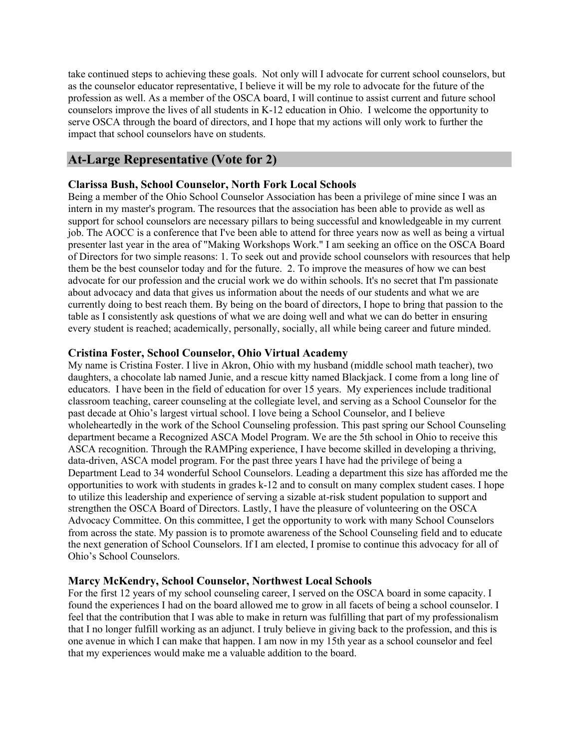take continued steps to achieving these goals. Not only will I advocate for current school counselors, but as the counselor educator representative, I believe it will be my role to advocate for the future of the profession as well. As a member of the OSCA board, I will continue to assist current and future school counselors improve the lives of all students in K-12 education in Ohio. I welcome the opportunity to serve OSCA through the board of directors, and I hope that my actions will only work to further the impact that school counselors have on students.

# **At-Large Representative (Vote for 2)**

## **Clarissa Bush, School Counselor, North Fork Local Schools**

Being a member of the Ohio School Counselor Association has been a privilege of mine since I was an intern in my master's program. The resources that the association has been able to provide as well as support for school counselors are necessary pillars to being successful and knowledgeable in my current job. The AOCC is a conference that I've been able to attend for three years now as well as being a virtual presenter last year in the area of "Making Workshops Work." I am seeking an office on the OSCA Board of Directors for two simple reasons: 1. To seek out and provide school counselors with resources that help them be the best counselor today and for the future. 2. To improve the measures of how we can best advocate for our profession and the crucial work we do within schools. It's no secret that I'm passionate about advocacy and data that gives us information about the needs of our students and what we are currently doing to best reach them. By being on the board of directors, I hope to bring that passion to the table as I consistently ask questions of what we are doing well and what we can do better in ensuring every student is reached; academically, personally, socially, all while being career and future minded.

### **Cristina Foster, School Counselor, Ohio Virtual Academy**

My name is Cristina Foster. I live in Akron, Ohio with my husband (middle school math teacher), two daughters, a chocolate lab named Junie, and a rescue kitty named Blackjack. I come from a long line of educators. I have been in the field of education for over 15 years. My experiences include traditional classroom teaching, career counseling at the collegiate level, and serving as a School Counselor for the past decade at Ohio's largest virtual school. I love being a School Counselor, and I believe wholeheartedly in the work of the School Counseling profession. This past spring our School Counseling department became a Recognized ASCA Model Program. We are the 5th school in Ohio to receive this ASCA recognition. Through the RAMPing experience, I have become skilled in developing a thriving, data-driven, ASCA model program. For the past three years I have had the privilege of being a Department Lead to 34 wonderful School Counselors. Leading a department this size has afforded me the opportunities to work with students in grades k-12 and to consult on many complex student cases. I hope to utilize this leadership and experience of serving a sizable at-risk student population to support and strengthen the OSCA Board of Directors. Lastly, I have the pleasure of volunteering on the OSCA Advocacy Committee. On this committee, I get the opportunity to work with many School Counselors from across the state. My passion is to promote awareness of the School Counseling field and to educate the next generation of School Counselors. If I am elected, I promise to continue this advocacy for all of Ohio's School Counselors.

## **Marcy McKendry, School Counselor, Northwest Local Schools**

For the first 12 years of my school counseling career, I served on the OSCA board in some capacity. I found the experiences I had on the board allowed me to grow in all facets of being a school counselor. I feel that the contribution that I was able to make in return was fulfilling that part of my professionalism that I no longer fulfill working as an adjunct. I truly believe in giving back to the profession, and this is one avenue in which I can make that happen. I am now in my 15th year as a school counselor and feel that my experiences would make me a valuable addition to the board.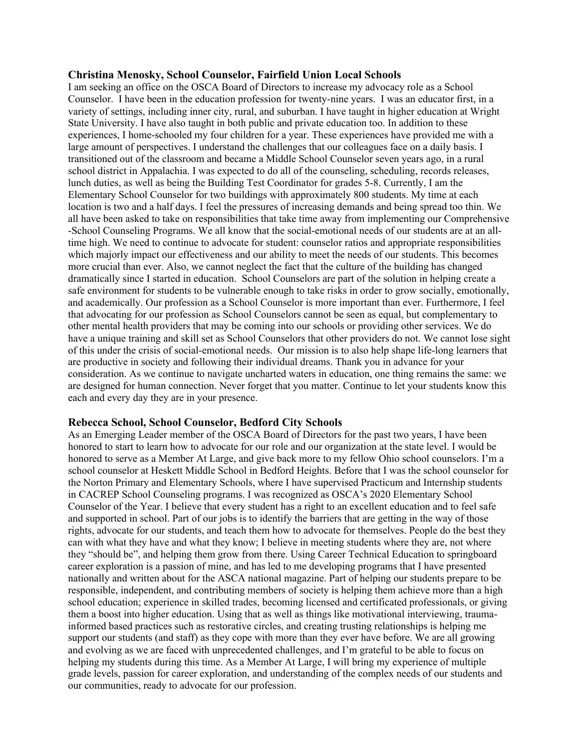#### **Christina Menosky, School Counselor, Fairfield Union Local Schools**

I am seeking an office on the OSCA Board of Directors to increase my advocacy role as a School Counselor. I have been in the education profession for twenty-nine years. I was an educator first, in a variety of settings, including inner city, rural, and suburban. I have taught in higher education at Wright State University. I have also taught in both public and private education too. In addition to these experiences, I home-schooled my four children for a year. These experiences have provided me with a large amount of perspectives. I understand the challenges that our colleagues face on a daily basis. I transitioned out of the classroom and became a Middle School Counselor seven years ago, in a rural school district in Appalachia. I was expected to do all of the counseling, scheduling, records releases, lunch duties, as well as being the Building Test Coordinator for grades 5-8. Currently, I am the Elementary School Counselor for two buildings with approximately 800 students. My time at each location is two and a half days. I feel the pressures of increasing demands and being spread too thin. We all have been asked to take on responsibilities that take time away from implementing our Comprehensive -School Counseling Programs. We all know that the social-emotional needs of our students are at an alltime high. We need to continue to advocate for student: counselor ratios and appropriate responsibilities which majorly impact our effectiveness and our ability to meet the needs of our students. This becomes more crucial than ever. Also, we cannot neglect the fact that the culture of the building has changed dramatically since I started in education. School Counselors are part of the solution in helping create a safe environment for students to be vulnerable enough to take risks in order to grow socially, emotionally, and academically. Our profession as a School Counselor is more important than ever. Furthermore, I feel that advocating for our profession as School Counselors cannot be seen as equal, but complementary to other mental health providers that may be coming into our schools or providing other services. We do have a unique training and skill set as School Counselors that other providers do not. We cannot lose sight of this under the crisis of social-emotional needs. Our mission is to also help shape life-long learners that are productive in society and following their individual dreams. Thank you in advance for your consideration. As we continue to navigate uncharted waters in education, one thing remains the same: we are designed for human connection. Never forget that you matter. Continue to let your students know this each and every day they are in your presence.

#### **Rebecca School, School Counselor, Bedford City Schools**

As an Emerging Leader member of the OSCA Board of Directors for the past two years, I have been honored to start to learn how to advocate for our role and our organization at the state level. I would be honored to serve as a Member At Large, and give back more to my fellow Ohio school counselors. I'm a school counselor at Heskett Middle School in Bedford Heights. Before that I was the school counselor for the Norton Primary and Elementary Schools, where I have supervised Practicum and Internship students in CACREP School Counseling programs. I was recognized as OSCA's 2020 Elementary School Counselor of the Year. I believe that every student has a right to an excellent education and to feel safe and supported in school. Part of our jobs is to identify the barriers that are getting in the way of those rights, advocate for our students, and teach them how to advocate for themselves. People do the best they can with what they have and what they know; I believe in meeting students where they are, not where they "should be", and helping them grow from there. Using Career Technical Education to springboard career exploration is a passion of mine, and has led to me developing programs that I have presented nationally and written about for the ASCA national magazine. Part of helping our students prepare to be responsible, independent, and contributing members of society is helping them achieve more than a high school education; experience in skilled trades, becoming licensed and certificated professionals, or giving them a boost into higher education. Using that as well as things like motivational interviewing, traumainformed based practices such as restorative circles, and creating trusting relationships is helping me support our students (and staff) as they cope with more than they ever have before. We are all growing and evolving as we are faced with unprecedented challenges, and I'm grateful to be able to focus on helping my students during this time. As a Member At Large, I will bring my experience of multiple grade levels, passion for career exploration, and understanding of the complex needs of our students and our communities, ready to advocate for our profession.